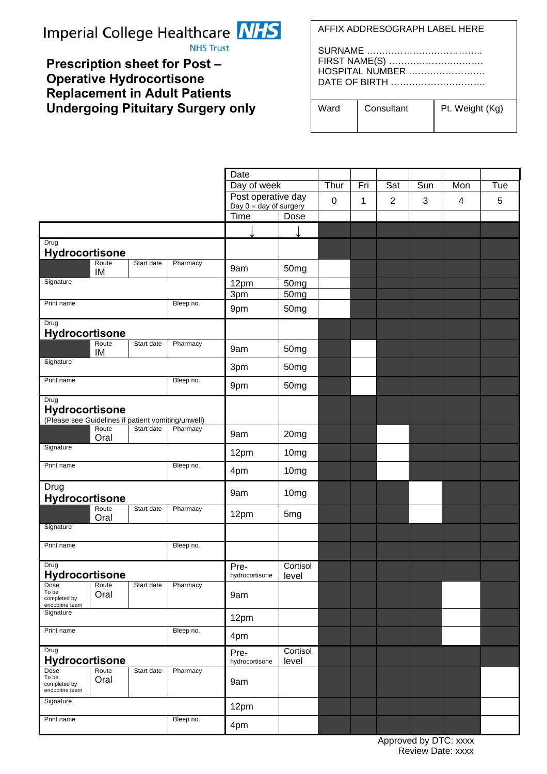# Imperial College Healthcare NHS



**NHS Trust** 

## **Prescription sheet for Post – Operative Hydrocortisone Replacement in Adult Patients Undergoing Pituitary Surgery only**

AFFIX ADDRESOGRAPH LABEL HERE

| FIRST NAME(S)   |
|-----------------|
| HOSPITAL NUMBER |
| DATE OF BIRTH   |
|                 |

| Ward | Consultant | Pt. Weight (Kg) |
|------|------------|-----------------|
|      |            |                 |

|                                                                              |               |            |                        | Date                                           |                  |  |     |                |     |     |     |
|------------------------------------------------------------------------------|---------------|------------|------------------------|------------------------------------------------|------------------|--|-----|----------------|-----|-----|-----|
|                                                                              |               |            |                        | Day of week                                    |                  |  | Fri | Sat            | Sun | Mon | Tue |
|                                                                              |               |            |                        | Post operative day<br>Day $0 = day$ of surgery |                  |  | 1   | $\overline{2}$ | 3   | 4   | 5   |
|                                                                              |               |            |                        | Time<br>Dose                                   |                  |  |     |                |     |     |     |
|                                                                              |               |            |                        |                                                |                  |  |     |                |     |     |     |
| Drug<br><b>Hydrocortisone</b>                                                |               |            |                        |                                                |                  |  |     |                |     |     |     |
|                                                                              | Route<br>IM   | Start date | Pharmacy               | 9am                                            | 50 <sub>mg</sub> |  |     |                |     |     |     |
| Signature                                                                    |               |            | 12pm<br>3pm            | 50 <sub>mg</sub><br>50mg                       |                  |  |     |                |     |     |     |
| Print name<br>Bleep no.                                                      |               |            | 9pm                    | 50mg                                           |                  |  |     |                |     |     |     |
| Drug<br>Hydrocortisone                                                       |               |            |                        |                                                |                  |  |     |                |     |     |     |
|                                                                              | Route<br>IM   | Start date | Pharmacy               | 9am                                            | 50 <sub>mg</sub> |  |     |                |     |     |     |
| Signature                                                                    |               |            |                        | 3pm                                            | 50mg             |  |     |                |     |     |     |
| Print name                                                                   |               |            | Bleep no.              | 9pm                                            | 50mg             |  |     |                |     |     |     |
| Drug<br>Hydrocortisone<br>(Please see Guidelines if patient vomiting/unwell) |               |            |                        |                                                |                  |  |     |                |     |     |     |
|                                                                              | Route<br>Oral | Start date | Pharmacy               | 9am                                            | 20 <sub>mg</sub> |  |     |                |     |     |     |
| Signature                                                                    |               |            |                        | 12pm                                           | 10mg             |  |     |                |     |     |     |
| Print name<br>Bleep no.                                                      |               |            |                        | 4pm                                            | 10mg             |  |     |                |     |     |     |
| Drug<br><b>Hydrocortisone</b>                                                |               |            |                        | 9am                                            | 10mg             |  |     |                |     |     |     |
|                                                                              | Route<br>Oral | Start date | Pharmacy               | 12pm                                           | 5mg              |  |     |                |     |     |     |
| Signature                                                                    |               |            |                        |                                                |                  |  |     |                |     |     |     |
| Print name                                                                   |               |            | Bleep no.              |                                                |                  |  |     |                |     |     |     |
| Drug<br>Hydrocortisone                                                       |               |            | Pre-<br>hydrocortisone | Cortisol<br>level                              |                  |  |     |                |     |     |     |
| Dose<br>To be<br>completed by<br>endocrine team                              | Route<br>Oral | Start date | Pharmacy               | 9am                                            |                  |  |     |                |     |     |     |
| Signature                                                                    |               |            | 12pm                   |                                                |                  |  |     |                |     |     |     |
| Print name<br>Bleep no.                                                      |               |            | 4pm                    |                                                |                  |  |     |                |     |     |     |
| Drug<br>Hydrocortisone                                                       |               |            | Pre-<br>hydrocortisone | Cortisol<br>level                              |                  |  |     |                |     |     |     |
| Dose<br>To be<br>completed by<br>endocrine team                              | Route<br>Oral | Start date | Pharmacy               | 9am                                            |                  |  |     |                |     |     |     |
| Signature                                                                    |               |            | 12pm                   |                                                |                  |  |     |                |     |     |     |
| Print name<br>Bleep no.                                                      |               |            | 4pm                    |                                                |                  |  |     |                |     |     |     |

 Approved by DTC: xxxx Review Date: xxxx